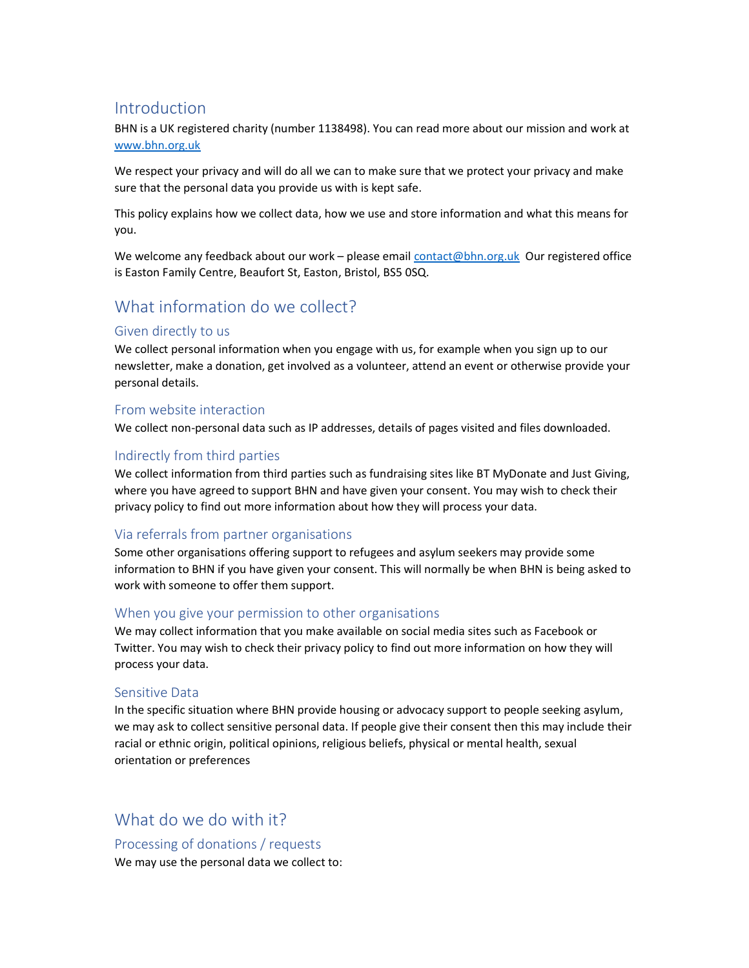# Introduction

BHN is a UK registered charity (number 1138498). You can read more about our mission and work at www.bhn.org.uk

We respect your privacy and will do all we can to make sure that we protect your privacy and make sure that the personal data you provide us with is kept safe.

This policy explains how we collect data, how we use and store information and what this means for you.

We welcome any feedback about our work - please email contact@bhn.org.uk Our registered office is Easton Family Centre, Beaufort St, Easton, Bristol, BS5 0SQ.

# What information do we collect?

## Given directly to us

We collect personal information when you engage with us, for example when you sign up to our newsletter, make a donation, get involved as a volunteer, attend an event or otherwise provide your personal details.

## From website interaction

We collect non-personal data such as IP addresses, details of pages visited and files downloaded.

## Indirectly from third parties

We collect information from third parties such as fundraising sites like BT MyDonate and Just Giving, where you have agreed to support BHN and have given your consent. You may wish to check their privacy policy to find out more information about how they will process your data.

### Via referrals from partner organisations

Some other organisations offering support to refugees and asylum seekers may provide some information to BHN if you have given your consent. This will normally be when BHN is being asked to work with someone to offer them support.

### When you give your permission to other organisations

We may collect information that you make available on social media sites such as Facebook or Twitter. You may wish to check their privacy policy to find out more information on how they will process your data.

### Sensitive Data

In the specific situation where BHN provide housing or advocacy support to people seeking asylum, we may ask to collect sensitive personal data. If people give their consent then this may include their racial or ethnic origin, political opinions, religious beliefs, physical or mental health, sexual orientation or preferences

What do we do with it?

Processing of donations / requests We may use the personal data we collect to: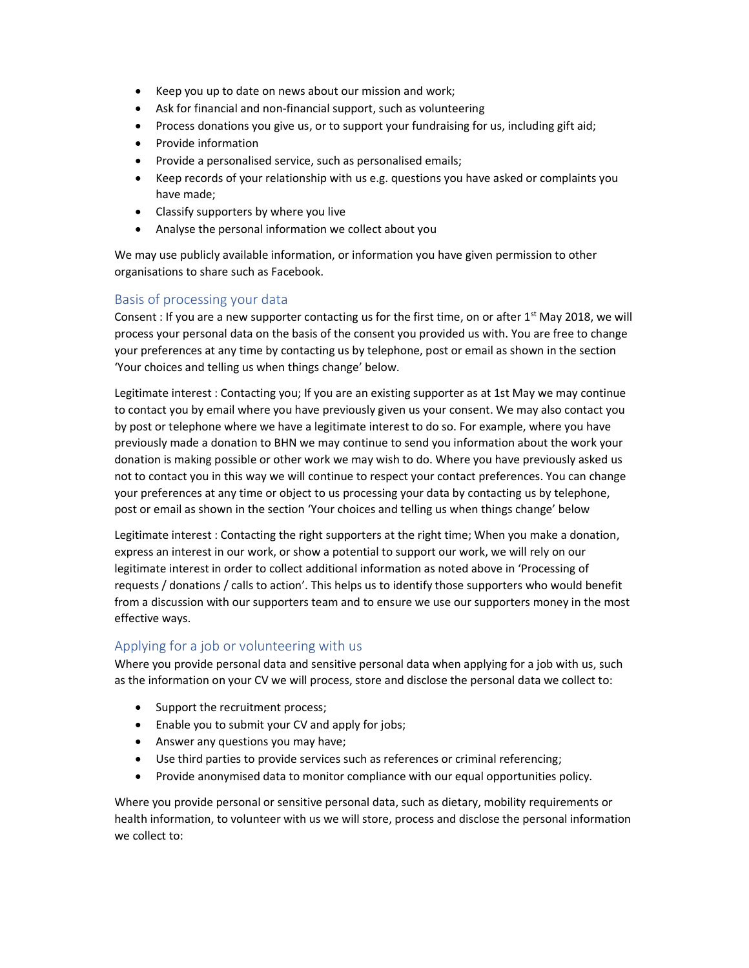- Keep you up to date on news about our mission and work;
- Ask for financial and non-financial support, such as volunteering
- Process donations you give us, or to support your fundraising for us, including gift aid;
- Provide information
- Provide a personalised service, such as personalised emails;
- Keep records of your relationship with us e.g. questions you have asked or complaints you have made;
- Classify supporters by where you live
- Analyse the personal information we collect about you

We may use publicly available information, or information you have given permission to other organisations to share such as Facebook.

## Basis of processing your data

Consent : If you are a new supporter contacting us for the first time, on or after  $1<sup>st</sup>$  May 2018, we will process your personal data on the basis of the consent you provided us with. You are free to change your preferences at any time by contacting us by telephone, post or email as shown in the section 'Your choices and telling us when things change' below.

Legitimate interest : Contacting you; If you are an existing supporter as at 1st May we may continue to contact you by email where you have previously given us your consent. We may also contact you by post or telephone where we have a legitimate interest to do so. For example, where you have previously made a donation to BHN we may continue to send you information about the work your donation is making possible or other work we may wish to do. Where you have previously asked us not to contact you in this way we will continue to respect your contact preferences. You can change your preferences at any time or object to us processing your data by contacting us by telephone, post or email as shown in the section 'Your choices and telling us when things change' below

Legitimate interest : Contacting the right supporters at the right time; When you make a donation, express an interest in our work, or show a potential to support our work, we will rely on our legitimate interest in order to collect additional information as noted above in 'Processing of requests / donations / calls to action'. This helps us to identify those supporters who would benefit from a discussion with our supporters team and to ensure we use our supporters money in the most effective ways.

### Applying for a job or volunteering with us

Where you provide personal data and sensitive personal data when applying for a job with us, such as the information on your CV we will process, store and disclose the personal data we collect to:

- Support the recruitment process;
- Enable you to submit your CV and apply for jobs;
- Answer any questions you may have;
- Use third parties to provide services such as references or criminal referencing;
- Provide anonymised data to monitor compliance with our equal opportunities policy.

Where you provide personal or sensitive personal data, such as dietary, mobility requirements or health information, to volunteer with us we will store, process and disclose the personal information we collect to: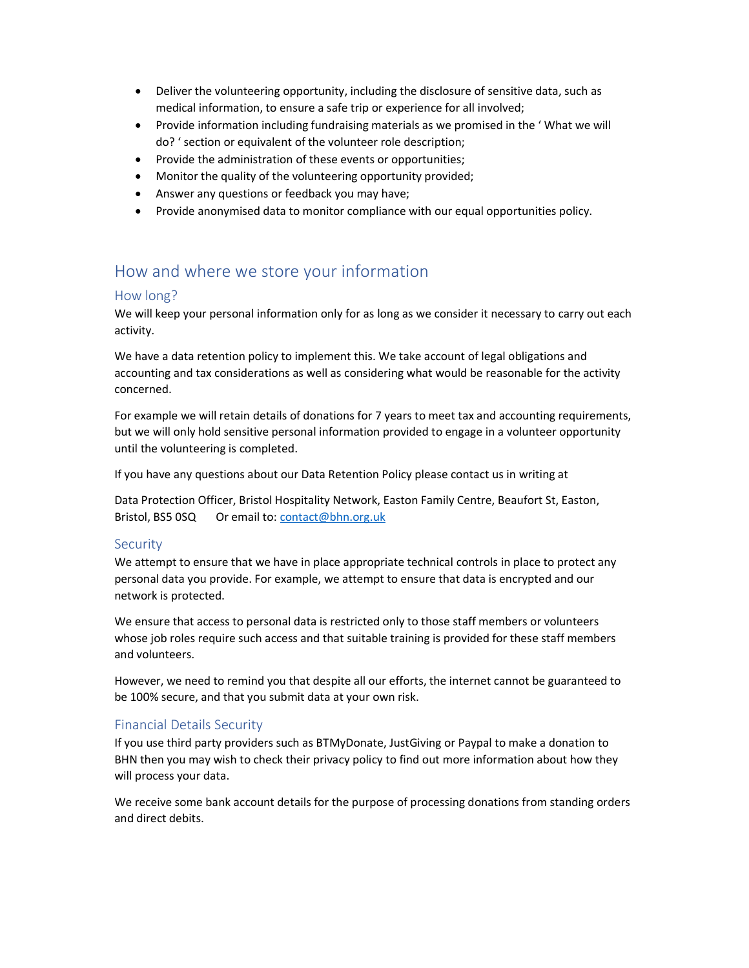- Deliver the volunteering opportunity, including the disclosure of sensitive data, such as medical information, to ensure a safe trip or experience for all involved;
- Provide information including fundraising materials as we promised in the ' What we will do? ' section or equivalent of the volunteer role description;
- Provide the administration of these events or opportunities;
- Monitor the quality of the volunteering opportunity provided;
- Answer any questions or feedback you may have;
- Provide anonymised data to monitor compliance with our equal opportunities policy.

# How and where we store your information

### How long?

We will keep your personal information only for as long as we consider it necessary to carry out each activity.

We have a data retention policy to implement this. We take account of legal obligations and accounting and tax considerations as well as considering what would be reasonable for the activity concerned.

For example we will retain details of donations for 7 years to meet tax and accounting requirements, but we will only hold sensitive personal information provided to engage in a volunteer opportunity until the volunteering is completed.

If you have any questions about our Data Retention Policy please contact us in writing at

Data Protection Officer, Bristol Hospitality Network, Easton Family Centre, Beaufort St, Easton, Bristol, BS5 0SQ Or email to: contact@bhn.org.uk

### **Security**

We attempt to ensure that we have in place appropriate technical controls in place to protect any personal data you provide. For example, we attempt to ensure that data is encrypted and our network is protected.

We ensure that access to personal data is restricted only to those staff members or volunteers whose job roles require such access and that suitable training is provided for these staff members and volunteers.

However, we need to remind you that despite all our efforts, the internet cannot be guaranteed to be 100% secure, and that you submit data at your own risk.

### Financial Details Security

If you use third party providers such as BTMyDonate, JustGiving or Paypal to make a donation to BHN then you may wish to check their privacy policy to find out more information about how they will process your data.

We receive some bank account details for the purpose of processing donations from standing orders and direct debits.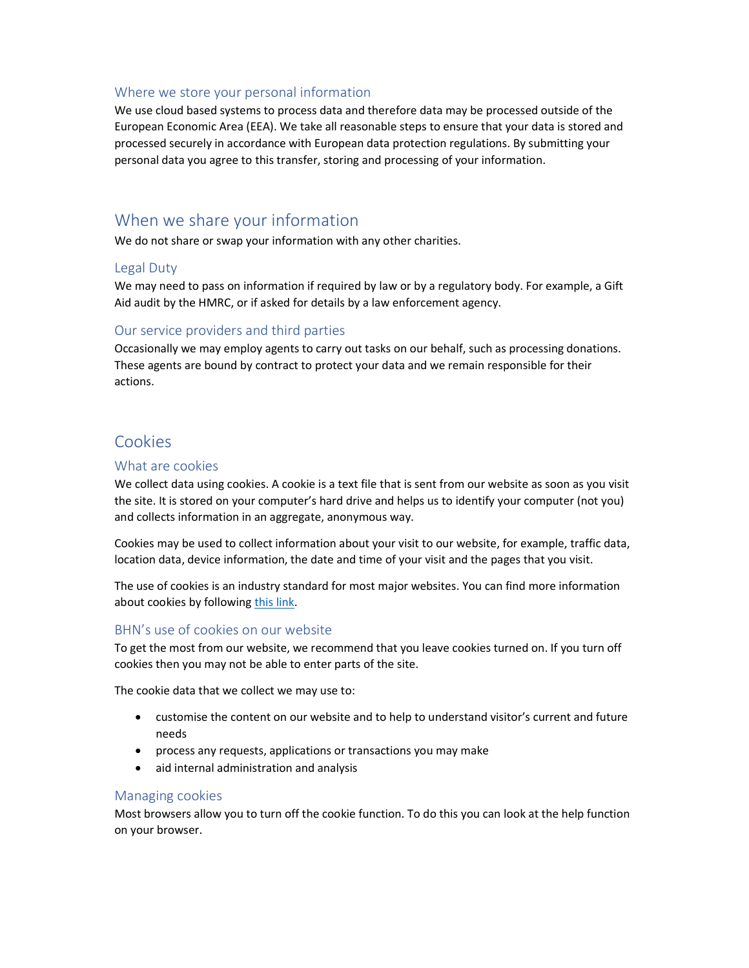#### Where we store your personal information

We use cloud based systems to process data and therefore data may be processed outside of the European Economic Area (EEA). We take all reasonable steps to ensure that your data is stored and processed securely in accordance with European data protection regulations. By submitting your personal data you agree to this transfer, storing and processing of your information.

# When we share your information

We do not share or swap your information with any other charities.

### Legal Duty

We may need to pass on information if required by law or by a regulatory body. For example, a Gift Aid audit by the HMRC, or if asked for details by a law enforcement agency.

### Our service providers and third parties

Occasionally we may employ agents to carry out tasks on our behalf, such as processing donations. These agents are bound by contract to protect your data and we remain responsible for their actions.

# Cookies

#### What are cookies

We collect data using cookies. A cookie is a text file that is sent from our website as soon as you visit the site. It is stored on your computer's hard drive and helps us to identify your computer (not you) and collects information in an aggregate, anonymous way.

Cookies may be used to collect information about your visit to our website, for example, traffic data, location data, device information, the date and time of your visit and the pages that you visit.

The use of cookies is an industry standard for most major websites. You can find more information about cookies by following this link.

### BHN's use of cookies on our website

To get the most from our website, we recommend that you leave cookies turned on. If you turn off cookies then you may not be able to enter parts of the site.

The cookie data that we collect we may use to:

- customise the content on our website and to help to understand visitor's current and future needs
- process any requests, applications or transactions you may make
- aid internal administration and analysis

#### Managing cookies

Most browsers allow you to turn off the cookie function. To do this you can look at the help function on your browser.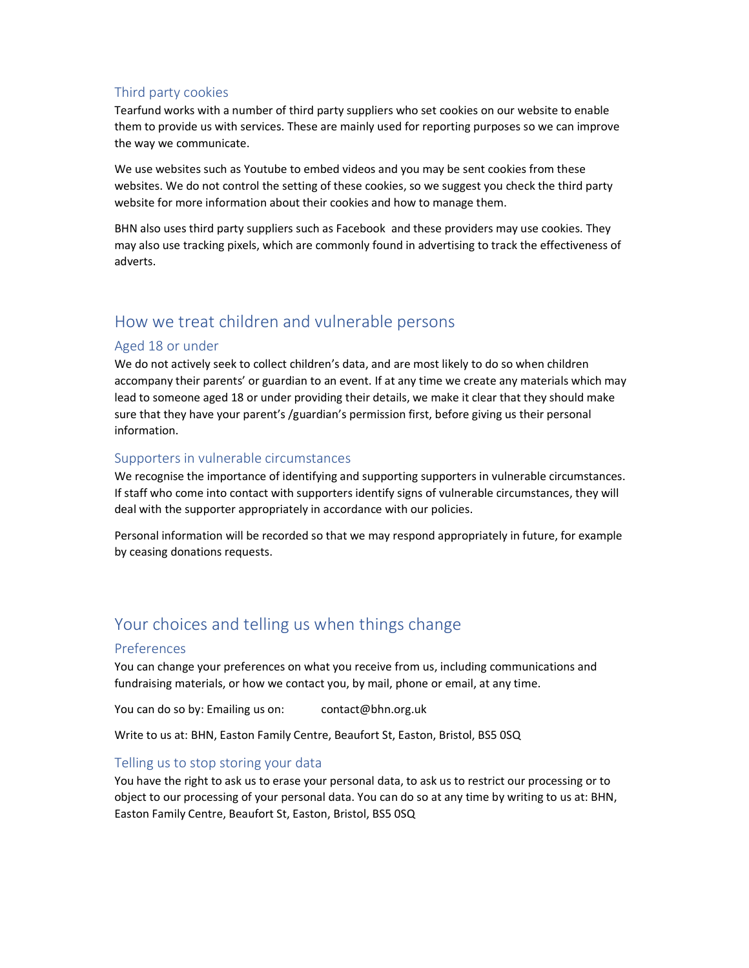### Third party cookies

Tearfund works with a number of third party suppliers who set cookies on our website to enable them to provide us with services. These are mainly used for reporting purposes so we can improve the way we communicate.

We use websites such as Youtube to embed videos and you may be sent cookies from these websites. We do not control the setting of these cookies, so we suggest you check the third party website for more information about their cookies and how to manage them.

BHN also uses third party suppliers such as Facebook and these providers may use cookies. They may also use tracking pixels, which are commonly found in advertising to track the effectiveness of adverts.

# How we treat children and vulnerable persons

### Aged 18 or under

We do not actively seek to collect children's data, and are most likely to do so when children accompany their parents' or guardian to an event. If at any time we create any materials which may lead to someone aged 18 or under providing their details, we make it clear that they should make sure that they have your parent's /guardian's permission first, before giving us their personal information.

## Supporters in vulnerable circumstances

We recognise the importance of identifying and supporting supporters in vulnerable circumstances. If staff who come into contact with supporters identify signs of vulnerable circumstances, they will deal with the supporter appropriately in accordance with our policies.

Personal information will be recorded so that we may respond appropriately in future, for example by ceasing donations requests.

# Your choices and telling us when things change

### Preferences

You can change your preferences on what you receive from us, including communications and fundraising materials, or how we contact you, by mail, phone or email, at any time.

You can do so by: Emailing us on: contact@bhn.org.uk

Write to us at: BHN, Easton Family Centre, Beaufort St, Easton, Bristol, BS5 0SQ

## Telling us to stop storing your data

You have the right to ask us to erase your personal data, to ask us to restrict our processing or to object to our processing of your personal data. You can do so at any time by writing to us at: BHN, Easton Family Centre, Beaufort St, Easton, Bristol, BS5 0SQ